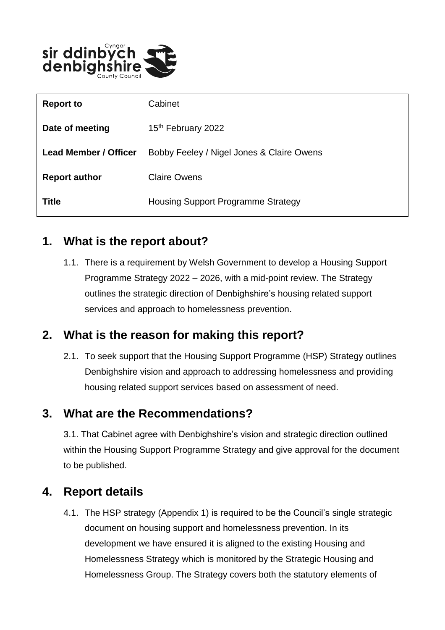

| <b>Report to</b>      | Cabinet                                   |
|-----------------------|-------------------------------------------|
| Date of meeting       | 15 <sup>th</sup> February 2022            |
| Lead Member / Officer | Bobby Feeley / Nigel Jones & Claire Owens |
| <b>Report author</b>  | <b>Claire Owens</b>                       |
| <b>Title</b>          | <b>Housing Support Programme Strategy</b> |

### **1. What is the report about?**

1.1. There is a requirement by Welsh Government to develop a Housing Support Programme Strategy 2022 – 2026, with a mid-point review. The Strategy outlines the strategic direction of Denbighshire's housing related support services and approach to homelessness prevention.

# **2. What is the reason for making this report?**

2.1. To seek support that the Housing Support Programme (HSP) Strategy outlines Denbighshire vision and approach to addressing homelessness and providing housing related support services based on assessment of need.

### **3. What are the Recommendations?**

3.1. That Cabinet agree with Denbighshire's vision and strategic direction outlined within the Housing Support Programme Strategy and give approval for the document to be published.

# **4. Report details**

4.1. The HSP strategy (Appendix 1) is required to be the Council's single strategic document on housing support and homelessness prevention. In its development we have ensured it is aligned to the existing Housing and Homelessness Strategy which is monitored by the Strategic Housing and Homelessness Group. The Strategy covers both the statutory elements of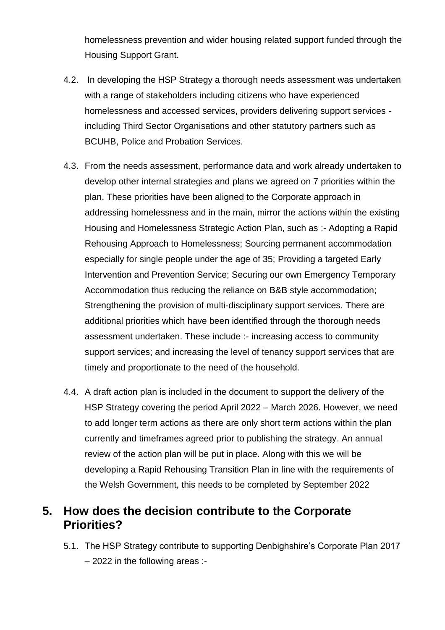homelessness prevention and wider housing related support funded through the Housing Support Grant.

- 4.2. In developing the HSP Strategy a thorough needs assessment was undertaken with a range of stakeholders including citizens who have experienced homelessness and accessed services, providers delivering support services including Third Sector Organisations and other statutory partners such as BCUHB, Police and Probation Services.
- 4.3. From the needs assessment, performance data and work already undertaken to develop other internal strategies and plans we agreed on 7 priorities within the plan. These priorities have been aligned to the Corporate approach in addressing homelessness and in the main, mirror the actions within the existing Housing and Homelessness Strategic Action Plan, such as :- Adopting a Rapid Rehousing Approach to Homelessness; Sourcing permanent accommodation especially for single people under the age of 35; Providing a targeted Early Intervention and Prevention Service; Securing our own Emergency Temporary Accommodation thus reducing the reliance on B&B style accommodation; Strengthening the provision of multi-disciplinary support services. There are additional priorities which have been identified through the thorough needs assessment undertaken. These include :- increasing access to community support services; and increasing the level of tenancy support services that are timely and proportionate to the need of the household.
- 4.4. A draft action plan is included in the document to support the delivery of the HSP Strategy covering the period April 2022 – March 2026. However, we need to add longer term actions as there are only short term actions within the plan currently and timeframes agreed prior to publishing the strategy. An annual review of the action plan will be put in place. Along with this we will be developing a Rapid Rehousing Transition Plan in line with the requirements of the Welsh Government, this needs to be completed by September 2022

### **5. How does the decision contribute to the Corporate Priorities?**

5.1. The HSP Strategy contribute to supporting Denbighshire's Corporate Plan 2017 – 2022 in the following areas :-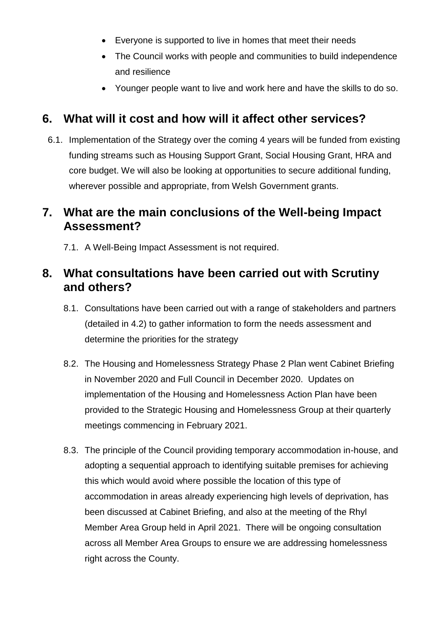- Everyone is supported to live in homes that meet their needs
- The Council works with people and communities to build independence and resilience
- Younger people want to live and work here and have the skills to do so.

### **6. What will it cost and how will it affect other services?**

6.1. Implementation of the Strategy over the coming 4 years will be funded from existing funding streams such as Housing Support Grant, Social Housing Grant, HRA and core budget. We will also be looking at opportunities to secure additional funding, wherever possible and appropriate, from Welsh Government grants.

### **7. What are the main conclusions of the Well-being Impact Assessment?**

7.1. A Well-Being Impact Assessment is not required.

### **8. What consultations have been carried out with Scrutiny and others?**

- 8.1. Consultations have been carried out with a range of stakeholders and partners (detailed in 4.2) to gather information to form the needs assessment and determine the priorities for the strategy
- 8.2. The Housing and Homelessness Strategy Phase 2 Plan went Cabinet Briefing in November 2020 and Full Council in December 2020. Updates on implementation of the Housing and Homelessness Action Plan have been provided to the Strategic Housing and Homelessness Group at their quarterly meetings commencing in February 2021.
- 8.3. The principle of the Council providing temporary accommodation in-house, and adopting a sequential approach to identifying suitable premises for achieving this which would avoid where possible the location of this type of accommodation in areas already experiencing high levels of deprivation, has been discussed at Cabinet Briefing, and also at the meeting of the Rhyl Member Area Group held in April 2021. There will be ongoing consultation across all Member Area Groups to ensure we are addressing homelessness right across the County.